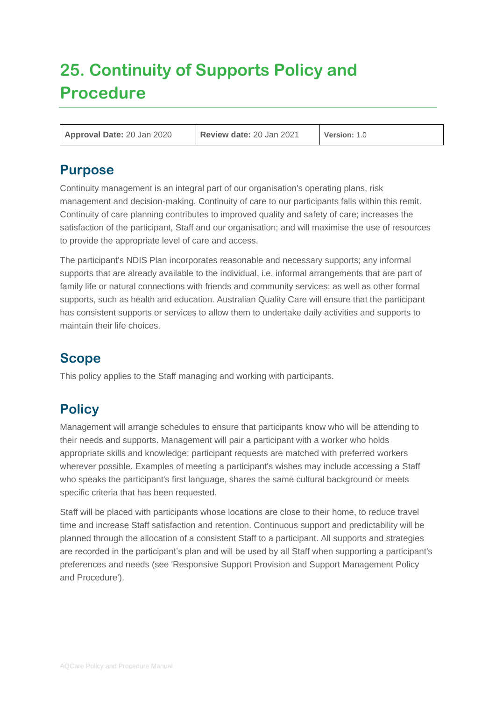# **25. Continuity of Supports Policy and Procedure**

**Approval Date:** 20 Jan 2020 **Review date:** 20 Jan 2021 **Version:** 1.0

## **Purpose**

Continuity management is an integral part of our organisation's operating plans, risk management and decision-making. Continuity of care to our participants falls within this remit. Continuity of care planning contributes to improved quality and safety of care; increases the satisfaction of the participant, Staff and our organisation; and will maximise the use of resources to provide the appropriate level of care and access.

The participant's NDIS Plan incorporates reasonable and necessary supports; any informal supports that are already available to the individual, i.e. informal arrangements that are part of family life or natural connections with friends and community services; as well as other formal supports, such as health and education. Australian Quality Care will ensure that the participant has consistent supports or services to allow them to undertake daily activities and supports to maintain their life choices.

# **Scope**

This policy applies to the Staff managing and working with participants.

# **Policy**

Management will arrange schedules to ensure that participants know who will be attending to their needs and supports. Management will pair a participant with a worker who holds appropriate skills and knowledge; participant requests are matched with preferred workers wherever possible. Examples of meeting a participant's wishes may include accessing a Staff who speaks the participant's first language, shares the same cultural background or meets specific criteria that has been requested.

Staff will be placed with participants whose locations are close to their home, to reduce travel time and increase Staff satisfaction and retention. Continuous support and predictability will be planned through the allocation of a consistent Staff to a participant. All supports and strategies are recorded in the participant's plan and will be used by all Staff when supporting a participant's preferences and needs (see 'Responsive Support Provision and Support Management Policy and Procedure').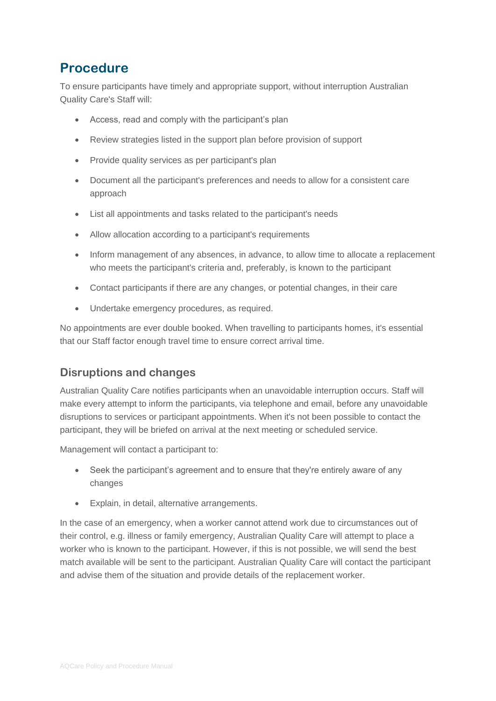# **Procedure**

To ensure participants have timely and appropriate support, without interruption Australian Quality Care's Staff will:

- Access, read and comply with the participant's plan
- Review strategies listed in the support plan before provision of support
- Provide quality services as per participant's plan
- Document all the participant's preferences and needs to allow for a consistent care approach
- List all appointments and tasks related to the participant's needs
- Allow allocation according to a participant's requirements
- Inform management of any absences, in advance, to allow time to allocate a replacement who meets the participant's criteria and, preferably, is known to the participant
- Contact participants if there are any changes, or potential changes, in their care
- Undertake emergency procedures, as required.

No appointments are ever double booked. When travelling to participants homes, it's essential that our Staff factor enough travel time to ensure correct arrival time.

#### **Disruptions and changes**

Australian Quality Care notifies participants when an unavoidable interruption occurs. Staff will make every attempt to inform the participants, via telephone and email, before any unavoidable disruptions to services or participant appointments. When it's not been possible to contact the participant, they will be briefed on arrival at the next meeting or scheduled service.

Management will contact a participant to:

- Seek the participant's agreement and to ensure that they're entirely aware of any changes
- Explain, in detail, alternative arrangements.

In the case of an emergency, when a worker cannot attend work due to circumstances out of their control, e.g. illness or family emergency, Australian Quality Care will attempt to place a worker who is known to the participant. However, if this is not possible, we will send the best match available will be sent to the participant. Australian Quality Care will contact the participant and advise them of the situation and provide details of the replacement worker.